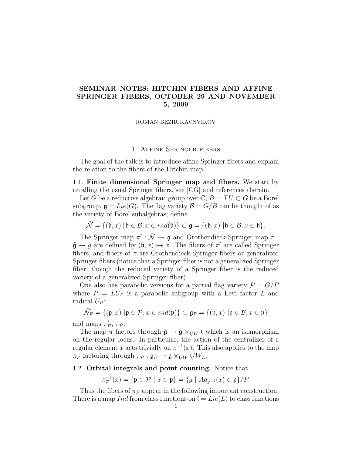# SEMINAR NOTES: HITCHIN FIBERS AND AFFINE SPRINGER FIBERS, OCTOBER 29 AND NOVEMBER 5, 2009

## ROMAN BEZRUKAVNVIKOV

## 1. Affine Springer fibers

The goal of the talk is to introduce affine Springer fibers and explain the relation to the fibers of the Hitchin map.

1.1. Finite dimensional Springer map and fibers. We start by recalling the usual Springer fibers, see [CG] and references therein.

Let G be a reductive algebraic group over  $\mathbb{C}, B = TU \subset G$  be a Borel subgroup,  $\mathfrak{g} = Lie(G)$ . The flag variety  $\mathcal{B} = G/B$  can be thought of as the variety of Borel subalgebras; define

$$
\tilde{\mathcal{N}} = \{(\mathfrak{b}, x) \mid \mathfrak{b} \in \mathcal{B}, x \in rad(\mathfrak{b})\} \subset \tilde{\mathfrak{g}} = \{(\mathfrak{b}, x) \mid \mathfrak{b} \in \mathcal{B}, x \in \mathfrak{b}\}.
$$

The Springer map  $\pi':\tilde{\mathcal{N}}\to\mathfrak{g}$  and Grothendieck-Springer map  $\pi$ :  $\tilde{\mathfrak{g}} \to g$  are defined by  $(\mathfrak{b}, x) \mapsto x$ . The fibers of  $\pi'$  are called Springer fibers, and fibers of  $\pi$  are Grothendieck-Springer fibers or generalized Springer fibers (notice that a Springer fiber is not a generalized Springer fiber, though the reduced variety of a Springer fiber is the reduced variety of a generalized Springer fiber).

One also has parabolic versions for a partial flag variety  $\mathcal{P} = G/P$ where  $P = LU$  is a parabolic subgroup with a Levi factor L and radical  $U_P$ :

$$
\tilde{\mathcal{N}}_{\mathcal{P}} = \{(\mathfrak{p},x) \, \left| \mathfrak{p} \in \mathcal{P}, x \in rad(\mathfrak{p}) \right\} \subset \tilde{\mathfrak{g}}_{\mathcal{P}} = \{(\mathfrak{p},x) \, \left| \mathfrak{p} \in \mathcal{B}, x \in \mathfrak{p} \right\}
$$

and maps  $\pi'_{\mathcal{P}}, \pi_{\mathcal{P}}.$ 

The map  $\pi$  factors through  $\tilde{\mathfrak{g}} \to \mathfrak{g} \times_{t/W} \mathfrak{t}$  which is an isomorphism on the regular locus. In particular, the action of the centralizer of a regular element x acts trivially on  $\pi^{-1}(x)$ . This also applies to the map  $\pi_{\mathcal{P}}$  factoring through  $\pi_{\mathcal{P}} : \tilde{\mathfrak{g}}_{\mathcal{P}} \to \mathfrak{g} \times_{\mathfrak{t}/W} \mathfrak{t}/W_L$ .

### 1.2. Orbital integrals and point counting. Notice that

$$
\pi_{\mathcal{P}}^{-1}(x) = \{ \mathfrak{p} \in \mathcal{P} \mid x \in \mathfrak{p} \} = \{ g \mid Ad_{g^{-1}}(x) \in \mathfrak{p} \} / P.
$$

Thus the fibers of  $\pi_{\mathcal{P}}$  appear in the following important construction. There is a map Ind from class functions on  $I = Lie(L)$  to class functions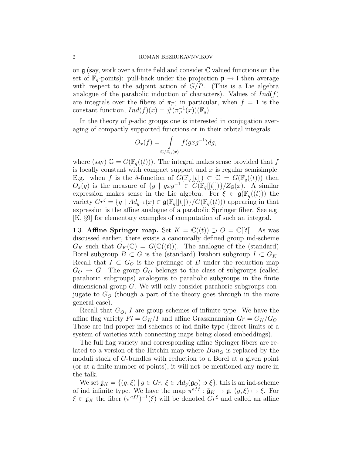#### 2 ROMAN BEZRUKAVNVIKOV

on  $\mathfrak g$  (say, work over a finite field and consider  $\mathbb C$  valued functions on the set of  $\mathbb{F}_q$ -points): pull-back under the projection  $\mathfrak{p} \to \mathfrak{l}$  then average with respect to the adjoint action of  $G/P$ . (This is a Lie algebra analogue of the parabolic induction of characters). Values of  $Ind(f)$ are integrals over the fibers of  $\pi_{\mathcal{P}}$ ; in particular, when  $f = 1$  is the constant function,  $Ind(f)(x) = \#(\pi_{\mathcal{P}}^{-1}(x))(\mathbb{F}_q)$ .

In the theory of p-adic groups one is interested in conjugation averaging of compactly supported functions or in their orbital integrals:

$$
O_x(f) = \int_{\mathbb{G}/Z_{\mathbb{G}}(x)} f(gxg^{-1})dg,
$$

where (say)  $\mathbb{G} = G(\mathbb{F}_q((t)))$ . The integral makes sense provided that f is locally constant with compact support and  $x$  is regular semisimple. E.g. when f is the  $\delta$ -function of  $G(\mathbb{F}_q[[t]]) \subset \mathbb{G} = G(\mathbb{F}_q((t)))$  then  $O_x(g)$  is the measure of  $\{g \mid gxg^{-1} \in G(\mathbb{F}_q[[t]])\}/Z_{\mathbb{G}}(x)$ . A similar expression makes sense in the Lie algebra. For  $\xi \in \mathfrak{g}(\mathbb{F}_q((t)))$  the variety  $Gr^{\xi} = \{g \mid Ad_{g^{-1}}(x) \in \mathfrak{g}(\mathbb{F}_q[[t]])\}/G(\mathbb{F}_q((t)))$  appearing in that expression is the affine analogue of a parabolic Springer fiber. See e.g. [K, §9] for elementary examples of computation of such an integral.

1.3. Affine Springer map. Set  $K = \mathbb{C}((t)) \supset O = \mathbb{C}[[t]]$ . As was discussed earlier, there exists a canonically defined group ind-scheme  $G_K$  such that  $G_K(\mathbb{C}) = G(\mathbb{C}((t)))$ . The analogue of the (standard) Borel subgroup  $B \subset G$  is the (standard) Iwahori subgroup  $I \subset G_K$ . Recall that  $I \subset G_O$  is the preimage of B under the reduction map  $G_O \rightarrow G$ . The group  $G_O$  belongs to the class of subgroups (called parahoric subgroups) analogous to parabolic subgroups in the finite dimensional group G. We will only consider parahoric subgroups conjugate to  $G<sub>O</sub>$  (though a part of the theory goes through in the more general case).

Recall that  $G_O$ , I are group schemes of infinite type. We have the affine flag variety  $Fl = G_K/I$  and affine Grassmannian  $Gr = G_K/G_O$ . These are ind-proper ind-schemes of ind-finite type (direct limits of a system of varieties with connecting maps being closed embeddings).

The full flag variety and corresponding affine Springer fibers are related to a version of the Hitchin map where  $Bun<sub>G</sub>$  is replaced by the moduli stack of G-bundles with reduction to a Borel at a given point (or at a finite number of points), it will not be mentioned any more in the talk.

We set  $\tilde{\mathfrak{g}}_K = \{(g, \xi) \mid g \in Gr, \xi \in Ad_g(\mathfrak{g}_O) \ni \xi\},\$  this is an ind-scheme of ind infinite type. We have the map  $\pi^{aff} : \tilde{\mathfrak{g}}_K \to \mathfrak{g}, (g, \xi) \mapsto \xi$ . For  $\xi \in \mathfrak{g}_K$  the fiber  $(\pi^{aff})^{-1}(\xi)$  will be denoted  $Gr^{\xi}$  and called an affine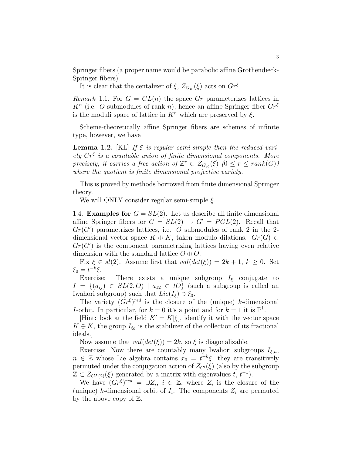Springer fibers (a proper name would be parabolic affine Grothendieck-Springer fibers).

It is clear that the centalizer of  $\xi$ ,  $Z_{G_K}(\xi)$  acts on  $Gr^{\xi}$ .

Remark 1.1. For  $G = GL(n)$  the space Gr parameterizes lattices in  $K<sup>n</sup>$  (i.e. O submodules of rank n), hence an affine Springer fiber  $Gr^{\xi}$ is the moduli space of lattice in  $K<sup>n</sup>$  which are preserved by  $\xi$ .

Scheme-theoretically affine Springer fibers are schemes of infinite type, however, we have

**Lemma 1.2.** [KL] If  $\xi$  is regular semi-simple then the reduced variety  $Gr^{\xi}$  is a countable union of finite dimensional components. More precisely, it carries a free action of  $\mathbb{Z}^r \subset Z_{G_K}(\xi)$   $(0 \leq r \leq rank(G))$ where the quotient is finite dimensional projective variety.

This is proved by methods borrowed from finite dimensional Springer theory.

We will ONLY consider regular semi-simple  $\xi$ .

1.4. **Examples for**  $G = SL(2)$ . Let us describe all finite dimensional affine Springer fibers for  $G = SL(2) \rightarrow G' = PGL(2)$ . Recall that  $Gr(G')$  parametrizes lattices, i.e. O submodules of rank 2 in the 2dimensional vector space  $K \oplus K$ , taken modulo dilations.  $Gr(G) \subset$  $Gr(G')$  is the component parametrizing lattices having even relative dimension with the standard lattice  $O \oplus O$ .

Fix  $\xi \in sl(2)$ . Assume first that  $val(det(\xi)) = 2k + 1, k \geq 0$ . Set  $\xi_0 = t^{-k} \xi$ .

Exercise: There exists a unique subgroup  $I_{\xi}$  conjugate to  $I = \{(a_{ij}) \in SL(2, O) \mid a_{12} \in tO\}$  (such a subgroup is called an Iwahori subgroup) such that  $Lie(I_{\xi}) \ni \xi_0$ .

The variety  $(Gr^{\xi})^{red}$  is the closure of the (unique) k-dimensional *I*-orbit. In particular, for  $k = 0$  it's a point and for  $k = 1$  it is  $\mathbb{P}^1$ .

[Hint: look at the field  $K' = K[\xi]$ , identify it with the vector space  $K \oplus K$ , the group  $I_{\xi_0}$  is the stabilizer of the collection of its fractional ideals.]

Now assume that  $val(det(\xi)) = 2k$ , so  $\xi$  is diagonalizable.

Exercise: Now there are countably many Iwahori subgroups  $I_{\xi,n}$ ,  $n \in \mathbb{Z}$  whose Lie algebra contains  $x_0 = t^{-k}\xi$ ; they are transitively permuted under the conjugation action of  $Z_{G}(\xi)$  (also by the subgroup  $\mathbb{Z} \subset Z_{GL(2)}(\xi)$  generated by a matrix with eigenvalues  $t, t^{-1}$ .

We have  $(Gr^{\xi})^{red} = \cup Z_i, i \in \mathbb{Z}$ , where  $Z_i$  is the closure of the (unique) k-dimensional orbit of  $I_i$ . The components  $Z_i$  are permuted by the above copy of  $\mathbb{Z}$ .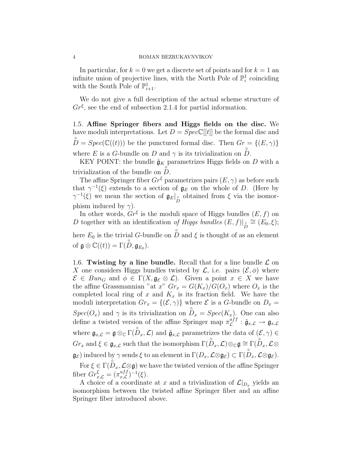In particular, for  $k = 0$  we get a discrete set of points and for  $k = 1$  and infinite union of projective lines, with the North Pole of  $\mathbb{P}^1_i$  coinciding with the South Pole of  $\mathbb{P}^1_{i+1}$ .

We do not give a full description of the actual scheme structure of  $Gr^{\xi}$ , see the end of subsection 2.1.4 for partial information.

1.5. Affine Springer fibers and Higgs fields on the disc. We have moduli interpretations. Let  $D = Spec \mathbb{C}[[t]]$  be the formal disc and  $\hat{D} = Spec(\mathbb{C}((t)))$  be the punctured formal disc. Then  $Gr = \{(E, \gamma)\}\$ where E is a G-bundle on D and  $\gamma$  is its trivialization on  $\hat{D}$ .

KEY POINT: the bundle  $\tilde{\mathfrak{g}}_K$  parametrizes Higgs fields on D with a trivialization of the bundle on  $\overrightarrow{D}$ .

The affine Springer fiber  $Gr^{\xi}$  parametrizes pairs  $(E, \gamma)$  as before such that  $\gamma^{-1}(\xi)$  extends to a section of  $\mathfrak{g}_E$  on the whole of D. (Here by  $\gamma^{-1}(\xi)$  we mean the section of  $g_E|_{\stackrel{\circ}{D}}$  obtained from  $\xi$  via the isomorphism induced by  $\gamma$ ).

In other words,  $Gr^{\xi}$  is the moduli space of Higgs bundles  $(E, f)$  on D together with an identification of Higgs bundles  $(E, f)|_{\stackrel{\circ}{D}} \cong (E_0, \xi);$ here  $E_0$  is the trivial G-bundle on  $\hat{D}$  and  $\xi$  is thought of as an element of  $\mathfrak{g} \otimes \mathbb{C}((t)) = \Gamma(\overset{\circ}{D}, \mathfrak{g}_{E_0}).$ 

1.6. Twisting by a line bundle. Recall that for a line bundle  $\mathcal L$  on X one considers Higgs bundles twisted by  $\mathcal{L}$ , i.e. pairs  $(\mathcal{E}, \phi)$  where  $\mathcal{E} \in Bun_G$  and  $\phi \in \Gamma(X,\mathfrak{g}_{\mathcal{E}}\otimes \mathcal{L})$ . Given a point  $x \in X$  we have the affine Grassmannian "at x"  $Gr_x = G(K_x)/G(O_x)$  where  $O_x$  is the completed local ring of x and  $K_x$  is its fraction field. We have the moduli interpretation  $Gr_x = \{(\mathcal{E}, \gamma)\}\$  where  $\mathcal E$  is a G-bundle on  $D_x =$  $Spec(O_x)$  and  $\gamma$  is its trivialization on  $\overset{\circ}{D}_x = Spec(K_x)$ . One can also define a twisted version of the affine Springer map  $\pi_{\mathcal{L}}^{aff}$  ${}_{\mathcal{L}}^{a f f}:\tilde{\mathfrak{g}}_{x,\mathcal{L}}\rightarrow \mathfrak{g}_{x,\mathcal{L}}$ where  $\mathfrak{g}_{x,\mathcal{L}} = \mathfrak{g} \otimes_{\mathbb{C}} \Gamma(\overset{\circ}{D}_{x},\mathcal{L})$  and  $\widetilde{\mathfrak{g}}_{x,\mathcal{L}}$  parametrizes the data of  $(\mathcal{E}, \gamma) \in$  $Gr_x$  and  $\xi \in \mathfrak{g}_{x,\mathcal{L}}$  such that the isomorphism  $\Gamma(\overset{\circ}{D}_x,\mathcal{L}) \otimes_{\mathbb{C}} \mathfrak{g} \cong \Gamma(\overset{\circ}{D}_x,\mathcal{L} \otimes$  $\mathfrak{g}_{\mathcal{E}}$ ) induced by  $\gamma$  sends  $\xi$  to an element in  $\Gamma(D_x, \mathcal{L} \otimes \mathfrak{g}_{\mathcal{E}}) \subset \Gamma(\overset{\circ}{D}_x, \mathcal{L} \otimes \mathfrak{g}_{\mathcal{E}})$ .

For  $\xi \in \Gamma(D_x, \mathcal{L} \otimes \mathfrak{g})$  we have the twisted version of the affine Springer fiber  $Gr_{x,\mathcal{L}}^{\xi} = (\pi_{x,\mathcal{L}}^{aff}$  $_{x,\mathcal{L}}^{aff})^{-1}(\xi).$ 

A choice of a coordinate at x and a trivialization of  $\mathcal{L}|_{D_x}$  yields an isomorphism between the twisted affine Springer fiber and an affine Springer fiber introduced above.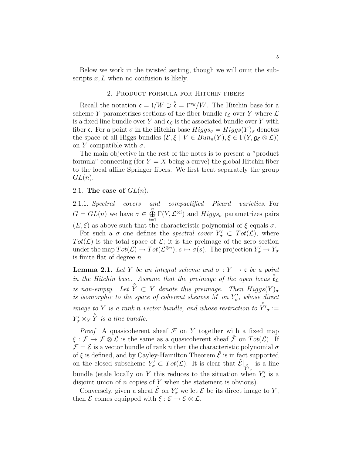Below we work in the twisted setting, though we will omit the subscripts  $x, L$  when no confusion is likely.

## 2. Product formula for Hitchin fibers

Recall the notation  $\mathfrak{c} = \mathfrak{t}/W \supset \overset{\circ}{\mathfrak{c}} = \mathfrak{t}^{reg}/W$ . The Hitchin base for a scheme Y parametrizes sections of the fiber bundle  $\mathfrak{c}_{\mathcal{L}}$  over Y where  $\mathcal{L}$ is a fixed line bundle over Y and  $c<sub>L</sub>$  is the associated bundle over Y with fiber c. For a point  $\sigma$  in the Hitchin base  $Higgs_{\sigma} = Higgs(Y)_{\sigma}$  denotes the space of all Higgs bundles  $(\mathcal{E}, \xi \mid V \in Bun_n(Y), \xi \in \Gamma(Y, \mathfrak{g}_{\mathcal{E}} \otimes \mathcal{L}))$ on Y compatible with  $\sigma$ .

The main objective in the rest of the notes is to present a "product formula" connecting (for  $Y = X$  being a curve) the global Hitchin fiber to the local affine Springer fibers. We first treat separately the group  $GL(n).$ 

## 2.1. The case of  $GL(n)$ .

2.1.1. Spectral covers and compactified Picard varieties. For  $G = GL(n)$  we have  $\sigma \in \bigoplus^{n}$  $i=1$  $\Gamma(Y, \mathcal{L}^{\otimes i})$  and  $Higgs_{\sigma}$  parametrizes pairs  $(E, \xi)$  as above such that the characteristic polynomial of  $\xi$  equals  $\sigma$ .

For such a  $\sigma$  one defines the *spectral cover*  $Y'_{\sigma} \subset Tot(\mathcal{L})$ , where  $Tot(\mathcal{L})$  is the total space of  $\mathcal{L}$ ; it is the preimage of the zero section under the map  $Tot(\mathcal{L}) \to Tot(\mathcal{L}^{\otimes n})$ ,  $s \mapsto \sigma(s)$ . The projection  $Y'_{\sigma} \to Y_{\sigma}$ is finite flat of degree  $n$ .

**Lemma 2.1.** Let Y be an integral scheme and  $\sigma: Y \to \mathfrak{c}$  be a point in the Hitchin base. Assume that the preimage of the open locus  $\hat{\mathfrak{c}}_{\mathcal{L}}$ is non-empty. Let  $\hat{Y} \subset Y$  denote this preimage. Then  $Higgs(Y)_{\sigma}$ is isomorphic to the space of coherent sheaves M on  $Y'_{\sigma}$ , whose direct image to Y is a rank n vector bundle, and whose restriction to  $\hat{Y}'_{\sigma}$  :=  $Y'_\sigma \times_Y \overset{\circ}{Y}$  is a line bundle.

*Proof* A quasicoherent sheaf  $\mathcal F$  on Y together with a fixed map  $\xi : \mathcal{F} \to \mathcal{F} \otimes \mathcal{L}$  is the same as a quasicoherent sheaf  $\tilde{\mathcal{F}}$  on  $Tot(\mathcal{L})$ . If  $\mathcal{F} = \mathcal{E}$  is a vector bundle of rank n then the characteristic polynomial  $\sigma$ of  $\xi$  is defined, and by Cayley-Hamilton Theorem  $\tilde{\mathcal{E}}$  is in fact supported on the closed subscheme  $Y_{\sigma}^i \subset Tot(\mathcal{L})$ . It is clear that  $\tilde{\mathcal{E}}|_{Y_{\sigma}^i}$  is a line bundle (etale locally on Y this reduces to the situation when  $Y'_{\sigma}$  is a disjoint union of  $n$  copies of  $Y$  when the statement is obvious).

Conversely, given a sheaf  $\tilde{\mathcal{E}}$  on  $Y'_{\sigma}$  we let  $\mathcal{E}$  be its direct image to Y, then  $\mathcal E$  comes equipped with  $\xi : \mathcal E \to \mathcal E \otimes \mathcal L$ .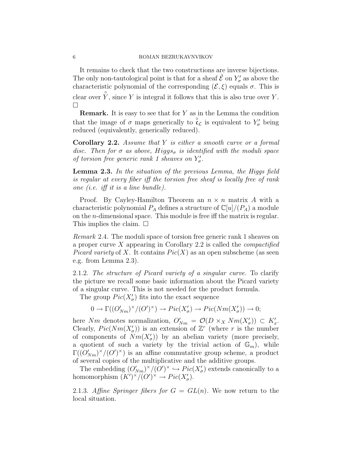It remains to check that the two constructions are inverse bijections. The only non-tautological point is that for a sheaf  $\tilde{\mathcal{E}}$  on  $Y'_{\sigma}$  as above the characteristic polynomial of the corresponding  $(\mathcal{E}, \xi)$  equals  $\sigma$ . This is clear over  $\hat{Y}$ , since Y is integral it follows that this is also true over Y.  $\Box$ 

**Remark.** It is easy to see that for  $Y$  as in the Lemma the condition that the image of  $\sigma$  maps generically to  $\mathfrak{c}_{\mathcal{L}}$  is equivalent to  $Y'_{\sigma}$  being reduced (equivalently, generically reduced).

Corollary 2.2. Assume that Y is either a smooth curve or a formal disc. Then for  $\sigma$  as above, Higgs<sub> $\sigma$ </sub> is identified with the moduli space of torsion free generic rank 1 sheaves on  $Y'_{\sigma}$ .

Lemma 2.3. In the situation of the previous Lemma, the Higgs field is regular at every fiber iff the torsion free sheaf is locally free of rank one (i.e. iff it is a line bundle).

Proof. By Cayley-Hamilton Theorem an  $n \times n$  matrix A with a characteristic polynomial  $P_A$  defines a structure of  $\mathbb{C}[u]/(P_A)$  a module on the n-dimensional space. This module is free iff the matrix is regular. This implies the claim.  $\square$ 

Remark 2.4. The moduli space of torsion free generic rank 1 sheaves on a proper curve  $X$  appearing in Corollary 2.2 is called the *compactified Picard variety* of X. It contains  $Pic(X)$  as an open subscheme (as seen e.g. from Lemma 2.3).

2.1.2. The structure of Picard variety of a singular curve. To clarify the picture we recall some basic information about the Picard variety of a singular curve. This is not needed for the product formula.

The group  $Pic(X'_{\sigma})$  fits into the exact sequence

$$
0 \to \Gamma((O'_{Nm})^{\times}/(O')^{\times}) \to Pic(X'_{\sigma}) \to Pic(Nm(X'_{\sigma})) \to 0;
$$

here Nm denotes normalization,  $O'_{Nm} = \mathcal{O}(D \times_X Nm(X'_{\sigma})) \subset K'_{x}$ . Clearly,  $Pic(Nm(X'_{\sigma}))$  is an extension of  $\mathbb{Z}^r$  (where r is the number of components of  $Nm(X'_{\sigma})$  by an abelian variety (more precisely, a quotient of such a variety by the trivial action of  $\mathbb{G}_m$ ), while  $\Gamma((O'_{Nm})^{\times}/(O')^{\times})$  is an affine commutative group scheme, a product of several copies of the multiplicative and the additive groups.

The embedding  $(O'_{Nm})^{\times}/(O')^{\times} \hookrightarrow Pic(X'_{\sigma})$  extends canonically to a homomorphism  $(K')^{\times}/(O')^{\times} \to Pic(X'_{\sigma}).$ 

2.1.3. Affine Springer fibers for  $G = GL(n)$ . We now return to the local situation.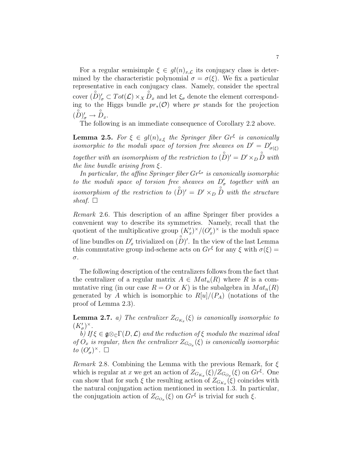For a regular semisimple  $\xi \in gl(n)_{x,\mathcal{L}}$  its conjugacy class is determined by the characteristic polynomial  $\sigma = \sigma(\xi)$ . We fix a particular representative in each conjugacy class. Namely, consider the spectral cover  $(\overset{\circ}{D})'_{\sigma} \subset Tot(\mathcal{L}) \times_X \overset{\circ}{D}_x$  and let  $\xi_{\sigma}$  denote the element corresponding to the Higgs bundle  $pr_*(\mathcal{O})$  where pr stands for the projection  $(\overset{\circ}{D})'_{\sigma} \rightarrow \overset{\circ}{D}_{x}.$ 

The following is an immediate consequence of Corollary 2.2 above.

**Lemma 2.5.** For  $\xi \in gl(n)_{x,\xi}$  the Springer fiber  $Gr^{\xi}$  is canonically isomorphic to the moduli space of torsion free sheaves on  $D' = D'_{\sigma(\xi)}$ together with an isomorphism of the restriction to  $\overset{\circ}{(D)}{}' = D' \times_D \overset{\circ}{D}$  with the line bundle arising from  $\xi$ .

In particular, the affine Springer fiber  $Gr^{\xi_{\sigma}}$  is canonically isomorphic to the moduli space of torsion free sheaves on  $D'_{\sigma}$  together with an isomorphism of the restriction to  $(D)' = D' \times_D D$  with the structure sheaf.  $\Box$ 

Remark 2.6. This description of an affine Springer fiber provides a convenient way to describe its symmetries. Namely, recall that the quotient of the multiplicative group  $(K_x')^{\times}/(O_x')^{\times}$  is the moduli space of line bundles on  $D'_x$  trivialized on  $(D)'$ . In the view of the last Lemma this commutative group ind-scheme acts on  $Gr^{\xi}$  for any  $\xi$  with  $\sigma(\xi)$  = σ.

The following description of the centralizers follows from the fact that the centralizer of a regular matrix  $A \in Mat_n(R)$  where R is a commutative ring (in our case  $R = O$  or K) is the subalgebra in  $Mat_n(R)$ generated by A which is isomorphic to  $R[u]/(P_A)$  (notations of the proof of Lemma 2.3).

**Lemma 2.7.** a) The centralizer  $Z_{G_{K_x}}(\xi)$  is canonically isomorphic to  $(K'_{\sigma})^{\times}.$ 

b) If  $\xi \in \mathfrak{g} \otimes_{\mathbb{C}} \Gamma(D, \mathcal{L})$  and the reduction of  $\xi$  modulo the maximal ideal of  $O_x$  is regular, then the centralizer  $Z_{G_{O_x}}(\xi)$  is canonically isomorphic to  $(O'_{\sigma})^{\times}$ .  $\square$ 

Remark 2.8. Combining the Lemma with the previous Remark, for  $\xi$ which is regular at x we get an action of  $Z_{G_{K_x}}(\xi)/Z_{G_{O_x}}(\xi)$  on  $Gr^{\xi}$ . One can show that for such  $\xi$  the resulting action of  $Z_{G_{K_x}}(\xi)$  coincides with the natural conjugation action mentioned in section 1.3. In particular, the conjugation action of  $Z_{G_{O_x}}(\xi)$  on  $Gr^{\xi}$  is trivial for such  $\xi$ .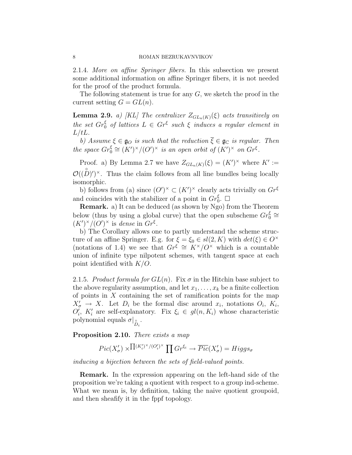2.1.4. More on affine Springer fibers. In this subsection we present some additional information on affine Springer fibers, it is not needed for the proof of the product formula.

The following statement is true for any  $G$ , we sketch the proof in the current setting  $G = GL(n)$ .

**Lemma 2.9.** a) [KL] The centralizer  $Z_{GL_n(K)}(\xi)$  acts transitively on the set  $Gr_0^{\xi}$  of lattices  $L \in Gr^{\xi}$  such  $\xi$  induces a regular element in  $L/tL$ .

b) Assume  $\xi \in \mathfrak{g}_O$  is such that the reduction  $\overline{\xi} \in \mathfrak{g}_\mathbb{C}$  is regular. Then the space  $Gr_0^{\xi} \cong (K')^{\times}/(O')^{\times}$  is an open orbit of  $(K')^{\times}$  on  $Gr^{\xi}$ .

Proof. a) By Lemma 2.7 we have  $Z_{GL_n(K)}(\xi) = (K')^{\times}$  where  $K' :=$  $\mathcal{O}((D)^{n})^{\times}$ . Thus the claim follows from all line bundles being locally isomorphic.

b) follows from (a) since  $(O')^{\times} \subset (K')^{\times}$  clearly acts trivially on  $Gr^{\xi}$ and coincides with the stabilizer of a point in  $Gr_0^{\xi}$ .  $\Box$ 

Remark. a) It can be deduced (as shown by Ngo) from the Theorem below (thus by using a global curve) that the open subscheme  $Gr_0^{\xi} \cong$  $(K')^{\times}/(O')^{\times}$  is dense in  $Gr^{\xi}$ .

b) The Corollary allows one to partly understand the scheme structure of an affine Springer. E.g. for  $\xi = \xi_0 \in sl(2, K)$  with  $det(\xi) \in O^{\times}$ (notations of 1.4) we see that  $Gr^{\xi} \cong K^{\times}/O^{\times}$  which is a countable union of infinite type nilpotent schemes, with tangent space at each point identified with  $K/O$ .

2.1.5. Product formula for  $GL(n)$ . Fix  $\sigma$  in the Hitchin base subject to the above regularity assumption, and let  $x_1, \ldots, x_k$  be a finite collection of points in  $X$  containing the set of ramification points for the map  $X'_{\sigma} \to X$ . Let  $D_i$  be the formal disc around  $x_i$ , notations  $O_i$ ,  $K_i$ ,  $O_i', K_i'$  are self-explanatory. Fix  $\xi_i \in gl(n, K_i)$  whose characteristic polynomial equals  $\sigma|_{\overset{\circ}{D}_i}$ .

Proposition 2.10. There exists a map

$$
Pic(X'_{\sigma}) \times \prod^{(K'_{i})^{\times}/(O'_{i})^{\times}} \prod^{C} G r^{\xi_{i}} \rightarrow \overline{Pic}(X'_{\sigma}) = Higgs_{\sigma}
$$

inducing a bijection between the sets of field-valued points.

Remark. In the expression appearing on the left-hand side of the proposition we're taking a quotient with respect to a group ind-scheme. What we mean is, by definition, taking the naive quotient groupoid, and then sheafify it in the fppf topology.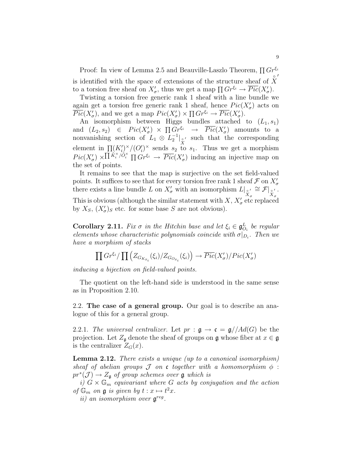Proof: In view of Lemma 2.5 and Beauville-Laszlo Theorem,  $\prod Gr^{\xi_i}$ is identified with the space of extensions of the structure sheaf of  $\hat{\vec{X}}$  $\overline{a}$ to a torsion free sheaf on  $X'_{\sigma}$ , thus we get a map  $\Pi Gr^{\xi_i} \to \overline{Pic}(X'_{\sigma}).$ 

Twisting a torsion free generic rank 1 sheaf with a line bundle we again get a torsion free generic rank 1 sheaf, hence  $Pic(X'_{\sigma})$  acts on  $\overline{Pic}(X'_{\sigma})$ , and we get a map  $Pic(X'_{\sigma}) \times \prod Gr^{\xi_i} \to \overline{Pic}(X'_{\sigma})$ .

An isomorphism between Higgs bundles attached to  $(L_1, s_1)$ and  $(L_2, s_2) \in Pic(X'_{\sigma}) \times \prod Gr^{\xi_i} \rightarrow \overline Pic(X'_{\sigma})$  amounts to a nonvanishing section of  $L_1 \otimes L_2^{-1}|_{\substack{s' \\ X}}$  such that the corresponding element in  $\prod (K_i')^{\times}/(O_i')^{\times}$  sends  $s_2$  to  $s_1$ . Thus we get a morphism  $Pic(X'_{\sigma}) \times \Pi^{\tilde{K}_{i}^{\times}/\tilde{O}_{i}^{\times}} \Pi^{\tilde{G}_{i}^{\times}} \longrightarrow \overline{Pic}(X'_{\sigma})$  inducing an injective map on the set of points.

It remains to see that the map is surjective on the set field-valued points. It suffices to see that for every torsion free rank 1 sheaf  $\mathcal F$  on  $X'_\sigma$ points. It sumes to see that for every torsion nee rank I shear J on  $X_{\sigma}$ <br>there exists a line bundle L on  $X'_{\sigma}$  with an isomorphism  $L|_{S'_{\sigma}} \cong \mathcal{F}|_{S'_{\sigma}}$ . σ  $\cong \mathcal{F}|_{X/\mathcal{E}'}$ σ . This is obvious (although the similar statement with  $X, X'_{\sigma}$  etc replaced by  $X_S$ ,  $(X'_{\sigma})_S$  etc. for some base S are not obvious).

**Corollary 2.11.** Fix  $\sigma$  in the Hitchin base and let  $\xi_i \in \mathfrak{g}^L_{O_i}$  be regular elements whose characteristic polynomials coincide with  $\sigma|_{D_i}$ . Then we have a morphism of stacks

$$
\prod Gr^{\xi_i}/\prod (Z_{G_{K_{x_i}}}(\xi_i)/Z_{G_{O_{x_i}}}(\xi_i)) \to \overline{Pic}(X'_{\sigma})/Pic(X'_{\sigma})
$$

inducing a bijection on field-valued points.

The quotient on the left-hand side is understood in the same sense as in Proposition 2.10.

2.2. The case of a general group. Our goal is to describe an analogue of this for a general group.

2.2.1. The universal centralizer. Let  $pr : \mathfrak{g} \to \mathfrak{c} = \mathfrak{g}/\mathfrak{Ad}(G)$  be the projection. Let  $Z_{\mathfrak{g}}$  denote the sheaf of groups on  $\mathfrak{g}$  whose fiber at  $x \in \mathfrak{g}$ is the centralizer  $Z_G(x)$ .

Lemma 2.12. There exists a unique (up to a canonical isomorphism) sheaf of abelian groups  $\mathcal J$  on c together with a homomorphism  $\phi$ :  $pr^*(\mathcal{J}) \to Z_{\mathfrak{g}}$  of group schemes over  $\mathfrak g$  which is

i)  $G \times \mathbb{G}_m$  equivariant where G acts by conjugation and the action of  $\mathbb{G}_m$  on  $\mathfrak{g}$  is given by  $t : x \mapsto t^2x$ .

ii) an isomorphism over  $\mathfrak{g}^{reg}$ .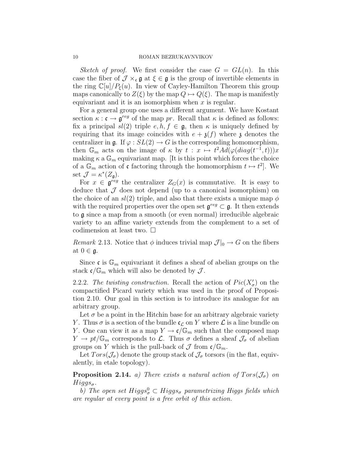Sketch of proof. We first consider the case  $G = GL(n)$ . In this case the fiber of  $\mathcal{J} \times_{c} \mathfrak{g}$  at  $\xi \in \mathfrak{g}$  is the group of invertible elements in the ring  $\mathbb{C}[u]/P_{\xi}(u)$ . In view of Cayley-Hamilton Theorem this group maps canonically to  $Z(\xi)$  by the map  $Q \mapsto Q(\xi)$ . The map is manifestly equivariant and it is an isomorphism when  $x$  is regular.

For a general group one uses a different argument. We have Kostant section  $\kappa : \mathfrak{c} \to \mathfrak{g}^{reg}$  of the map pr. Recall that  $\kappa$  is defined as follows: fix a principal  $sl(2)$  triple  $e, h, f \in \mathfrak{g}$ , then  $\kappa$  is uniquely defined by requiring that its image coincides with  $e + \mathfrak{z}(f)$  where  $\mathfrak z$  denotes the centralizer in  $\mathfrak{g}$ . If  $\varphi$  :  $SL(2) \rightarrow G$  is the corresponding homomorphism, then  $\mathbb{G}_m$  acts on the image of  $\kappa$  by  $t : x \mapsto t^2 A d(\varphi(diag(t^{-1}, t)))x$ making  $\kappa$  a  $\mathbb{G}_m$  equivariant map. [It is this point which forces the choice of a  $\mathbb{G}_m$  action of c factoring through the homomorphism  $t \mapsto t^2$ . We set  $\mathcal{J} = \kappa^*(Z_{\mathfrak{g}}).$ 

For  $x \in \mathfrak{g}^{reg}$  the centralizer  $Z_G(x)$  is commutative. It is easy to deduce that  $\mathcal J$  does not depend (up to a canonical isomorphism) on the choice of an  $sl(2)$  triple, and also that there exists a unique map  $\phi$ with the required properties over the open set  $\mathfrak{g}^{reg} \subset \mathfrak{g}$ . It then extends to g since a map from a smooth (or even normal) irreducible algebraic variety to an affine variety extends from the complement to a set of codimension at least two.  $\square$ 

*Remark* 2.13. Notice that  $\phi$  induces trivial map  $\mathcal{J}|_0 \to G$  on the fibers at  $0 \in \mathfrak{g}$ .

Since c is  $\mathbb{G}_m$  equivariant it defines a sheaf of abelian groups on the stack  $\mathfrak{c}/\mathbb{G}_m$  which will also be denoted by  $\mathcal{J}$ .

2.2.2. The twisting construction. Recall the action of  $Pic(X'_{\sigma})$  on the compactified Picard variety which was used in the proof of Proposition 2.10. Our goal in this section is to introduce its analogue for an arbitrary group.

Let  $\sigma$  be a point in the Hitchin base for an arbitrary algebraic variety Y. Thus  $\sigma$  is a section of the bundle  $\mathfrak{c}_{\mathcal{L}}$  on Y where  $\mathcal L$  is a line bundle on Y. One can view it as a map  $Y \to \mathfrak{c}/\mathbb{G}_m$  such that the composed map  $Y \to pt/\mathbb{G}_m$  corresponds to  $\mathcal{L}$ . Thus  $\sigma$  defines a sheaf  $\mathcal{J}_{\sigma}$  of abelian groups on Y which is the pull-back of  $\mathcal J$  from  $\mathfrak c/\mathbb G_m$ .

Let  $Tors(\mathcal{J}_{\sigma})$  denote the group stack of  $\mathcal{J}_{\sigma}$  torsors (in the flat, equivalently, in etale topology).

**Proposition 2.14.** a) There exists a natural action of  $Tors(\mathcal{J}_{\sigma})$  on  $Higgs_{\sigma}$ .

b) The open set  $Higgs_{\sigma}^0 \subset Higgs_{\sigma}$  parametrizing Higgs fields which are regular at every point is a free orbit of this action.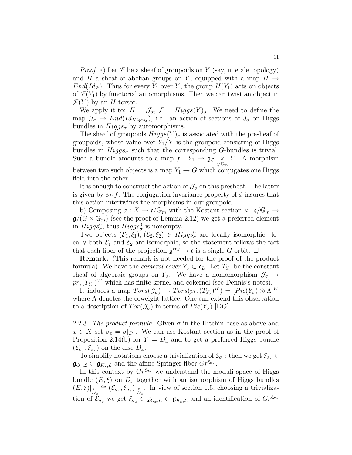*Proof* a) Let F be a sheaf of groupoids on Y (say, in etale topology) and H a sheaf of abelian groups on Y, equipped with a map  $H \rightarrow$  $End(Id_{\mathcal{F}})$ . Thus for every  $Y_1$  over Y, the group  $H(Y_1)$  acts on objects of  $\mathcal{F}(Y_1)$  by functorial automorphisms. Then we can twist an object in  $\mathcal{F}(Y)$  by an H-torsor.

We apply it to:  $H = \mathcal{J}_{\sigma}, \mathcal{F} = Higgs(Y)_{\sigma}$ . We need to define the map  $\mathcal{J}_{\sigma} \to End(Id_{Higgs_{\sigma}})$ , i.e. an action of sections of  $J_{\sigma}$  on Higgs bundles in  $Higgs_{\sigma}$  by automorphisms.

The sheaf of groupoids  $Higgs(Y)_{\sigma}$  is associated with the presheaf of groupoids, whose value over  $Y_1/Y$  is the groupoid consisting of Higgs bundles in  $Higgs_{\sigma}$  such that the corresponding G-bundles is trivial. Such a bundle amounts to a map  $f: Y_1 \to \mathfrak{g}_{\mathcal{L}} \underset{\mathfrak{c}/\mathbb{G}_m}{\times}$ Y. A morphism between two such objects is a map  $Y_1 \rightarrow G$  which conjugates one Higgs field into the other.

It is enough to construct the action of  $\mathcal{J}_{\sigma}$  on this presheaf. The latter is given by  $\phi \circ f$ . The conjugation-invariance property of  $\phi$  insures that this action intertwines the morphisms in our groupoid.

b) Composing  $\sigma: X \to \mathfrak{c}/\mathbb{G}_m$  with the Kostant section  $\kappa: \mathfrak{c}/\mathbb{G}_m \to$  $\mathfrak{g}/(G \times \mathbb{G}_m)$  (see the proof of Lemma 2.12) we get a preferred element in  $Higgs_{\sigma}^{0}$ , thus  $Higgs_{\sigma}^{0}$  is nonempty.

Two objects  $(\mathcal{E}_1, \xi_1), (\mathcal{E}_2, \xi_2) \in Higgs^0_\sigma$  are locally isomorphic: locally both  $\mathcal{E}_1$  and  $\mathcal{E}_2$  are isomorphic, so the statement follows the fact that each fiber of the projection  $\mathfrak{g}^{reg} \to \mathfrak{c}$  is a single G-orbit.  $\Box$ 

Remark. (This remark is not needed for the proof of the product formula). We have the *cameral cover*  $Y_{\sigma} \subset \mathfrak{c}_L$ . Let  $T_{Y_{\sigma}}$  be the constant sheaf of algebraic groups on  $Y_{\sigma}$ . We have a homomorphism  $\mathcal{J}_{\sigma} \rightarrow$  $pr_*(T_{Y_\sigma})^W$  which has finite kernel and cokernel (see Dennis's notes).

It induces a map  $Tors(\mathcal{J}_{\sigma}) \to Tors(pr_*(T_{Y_{\sigma}})^W) = [Pic(Y_{\sigma}) \otimes \Lambda]^W$ where  $\Lambda$  denotes the coweight lattice. One can extend this observation to a description of  $Tor(\mathcal{J}_{\sigma})$  in terms of  $Pic(Y_{\sigma})$  [DG].

2.2.3. The product formula. Given  $\sigma$  in the Hitchin base as above and  $x \in X$  set  $\sigma_x = \sigma|_{D_x}$ . We can use Kostant section as in the proof of Proposition 2.14(b) for  $Y = D_x$  and to get a preferred Higgs bundle  $(\mathcal{E}_{\sigma_x}, \xi_{\sigma_x})$  on the disc  $D_x$ .

To simplify notations choose a trivialization of  $\mathcal{E}_{\sigma_x}$ ; then we get  $\xi_{\sigma_x} \in$  $\mathfrak{g}_{O_x,\mathcal{L}} \subset \mathfrak{g}_{K_x,\mathcal{L}}$  and the affine Springer fiber  $Gr^{\xi_{\sigma_x}}$ .

In this context by  $Gr^{\xi_{\sigma_x}}$  we understand the moduli space of Higgs bundle  $(E, \xi)$  on  $D_x$  together with an isomorphism of Higgs bundles  $(E, \xi)|_{\stackrel{\circ}{D}_x} \cong (\mathcal{E}_{\sigma_x}, \xi_{\sigma_x})|_{\stackrel{\circ}{D}_x}$ . In view of section 1.5, choosing a trivialization of  $\mathcal{E}_{\sigma_x}$  we get  $\xi_{\sigma_x} \in \mathfrak{g}_{O_x,\mathcal{L}} \subset \mathfrak{g}_{K_x,\mathcal{L}}$  and an identification of  $Gr^{\xi_{\sigma_x}}$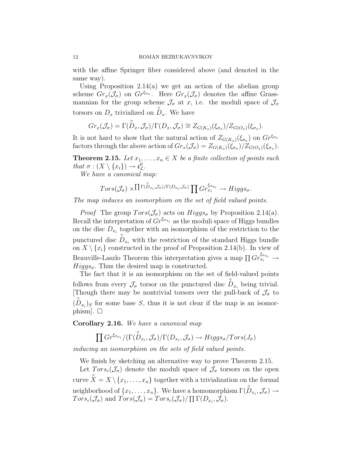with the affine Springer fiber considered above (and denoted in the same way).

Using Proposition 2.14(a) we get an action of the abelian group scheme  $Gr_x(\mathcal{J}_{\sigma})$  on  $Gr^{\xi_{\sigma_x}}$ . Here  $Gr_x(\mathcal{J}_{\sigma})$  denotes the affine Grassmannian for the group scheme  $\mathcal{J}_{\sigma}$  at  $x$ , i.e. the moduli space of  $\mathcal{J}_{\sigma}$ torsors on  $D_x$  trivialized on  $D_x$ . We have

$$
Gr_x(\mathcal{J}_\sigma) = \Gamma(\overset{\circ}{D}_x, \mathcal{J}_\sigma) / \Gamma(D_x, \mathcal{J}_\sigma) \cong Z_{G(K_x)}(\xi_{\sigma_x}) / Z_{G(O_x)}(\xi_{\sigma_x}).
$$

It is not hard to show that the natural action of  $Z_{G(K_x)}(\xi_{\sigma_x})$  on  $Gr^{\xi_{\sigma_x}}$ factors through the above action of  $Gr_x(\mathcal{J}_\sigma) = Z_{G(K_x)}(\xi_{\sigma_x})/Z_{G(O_x)}(\xi_{\sigma_x})$ .

**Theorem 2.15.** Let  $x_1, \ldots, x_n \in X$  be a finite collection of points such that  $\sigma : (X \setminus \{x_i\}) \to \mathfrak{c}_\mathcal{L}^0$ .

We have a canonical map:

$$
Tors(\mathcal{J}_{\sigma}) \times \Pi^{\Gamma(\stackrel{\circ}{D}_{x_i},\mathcal{J}_{\sigma})/\Gamma(D_{x_i},\mathcal{J}_{\sigma})} \prod Gr_{x_i}^{\xi_{\sigma x_i}} \to Higgs_{\sigma}.
$$

The map induces an isomorphism on the set of field valued points.

*Proof* The group  $Tors(\mathcal{J}_{\sigma})$  acts on  $Higgs_{\sigma}$  by Proposition 2.14(a). Recall the interpretation of  $Gr^{\xi_{\sigma_{x_i}}}$  as the moduli space of Higgs bundles on the disc  $D_{x_i}$  together with an isomorphism of the restriction to the punctured disc  $\overrightarrow{D}_{x_i}$  with the restriction of the standard Higgs bundle on  $X \setminus \{x_i\}$  constructed in the proof of Proposition 2.14(b). In view of Beauville-Laszlo Theorem this interpretation gives a map  $\prod Gr_{x_i}^{\xi_{\sigma_{x_i}}} \to$  $Higgs_{\sigma}$ . Thus the desired map is constructed.

The fact that it is an isomorphism on the set of field-valued points follows from every  $\mathcal{J}_{\sigma}$  torsor on the punctured disc  $\overset{\circ}{D}_{x_i}$  being trivial. [Though there may be nontrivial torsors over the pull-back of  $\mathcal{J}_{\sigma}$  to  $(\overset{\circ}{D}_{x_i})_S$  for some base S, thus it is not clear if the map is an isomorphism].  $\square$ 

Corollary 2.16. We have a canonical map

$$
\prod Gr^{\xi_{\sigma_{x_i}}}/(\Gamma(\overset{\circ}{D}_{x_i},\mathcal{J}_{\sigma})/\Gamma(D_{x_i},\mathcal{J}_{\sigma}) \to Higgs_{\sigma}/Tors(J_{\sigma})
$$

inducing an isomorphism on the sets of field valued points.

We finish by sketching an alternative way to prove Theorem 2.15.

Let  $Tors_c(\mathcal{J}_{\sigma})$  denote the moduli space of  $\mathcal{J}_{\sigma}$  torsors on the open curve  $\hat{X} = X \setminus \{x_1, \ldots, x_n\}$  together with a trivialization on the formal neighborhood of  $\{x_1, \ldots, x_n\}$ . We have a homomorphism  $\Gamma(\overset{\circ}{D}_{x_i}, \mathcal{J}_\sigma) \to$  $Tors_{c}(\mathcal{J}_{\sigma})$  and  $Tors(\mathcal{J}_{\sigma}) = Tors_{c}(\mathcal{J}_{\sigma})/\prod \Gamma(D_{x_i}, \mathcal{J}_{\sigma}).$